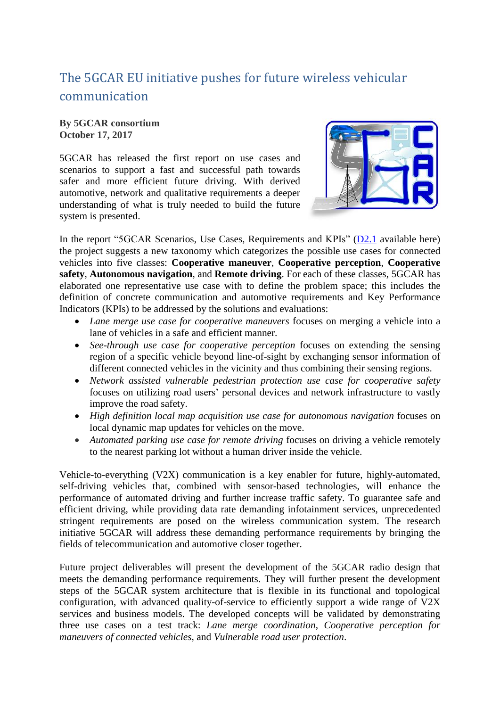## The 5GCAR EU initiative pushes for future wireless vehicular communication

**By 5GCAR consortium October 17, 2017**

5GCAR has released the first report on use cases and scenarios to support a fast and successful path towards safer and more efficient future driving. With derived automotive, network and qualitative requirements a deeper understanding of what is truly needed to build the future system is presented.



In the report "5GCAR Scenarios, Use Cases, Requirements and KPIs" [\(D2.1](http://5gcar.eu/wp-content/uploads/2017/05/5GCAR_D2.1_v1.0.pdf) available here) the project suggests a new taxonomy which categorizes the possible use cases for connected vehicles into five classes: **Cooperative maneuver**, **Cooperative perception**, **Cooperative safety**, **Autonomous navigation**, and **Remote driving**. For each of these classes, 5GCAR has elaborated one representative use case with to define the problem space; this includes the definition of concrete communication and automotive requirements and Key Performance Indicators (KPIs) to be addressed by the solutions and evaluations:

- *Lane merge use case for cooperative maneuvers* focuses on merging a vehicle into a lane of vehicles in a safe and efficient manner.
- *See-through use case for cooperative perception* focuses on extending the sensing region of a specific vehicle beyond line-of-sight by exchanging sensor information of different connected vehicles in the vicinity and thus combining their sensing regions.
- *Network assisted vulnerable pedestrian protection use case for cooperative safety* focuses on utilizing road users' personal devices and network infrastructure to vastly improve the road safety.
- *High definition local map acquisition use case for autonomous navigation* focuses on local dynamic map updates for vehicles on the move.
- *Automated parking use case for remote driving* focuses on driving a vehicle remotely to the nearest parking lot without a human driver inside the vehicle.

Vehicle-to-everything (V2X) communication is a key enabler for future, highly-automated, self-driving vehicles that, combined with sensor-based technologies, will enhance the performance of automated driving and further increase traffic safety. To guarantee safe and efficient driving, while providing data rate demanding infotainment services, unprecedented stringent requirements are posed on the wireless communication system. The research initiative 5GCAR will address these demanding performance requirements by bringing the fields of telecommunication and automotive closer together.

Future project deliverables will present the development of the 5GCAR radio design that meets the demanding performance requirements. They will further present the development steps of the 5GCAR system architecture that is flexible in its functional and topological configuration, with advanced quality-of-service to efficiently support a wide range of V2X services and business models. The developed concepts will be validated by demonstrating three use cases on a test track: *Lane merge coordination*, *Cooperative perception for maneuvers of connected vehicles*, and *Vulnerable road user protection*.